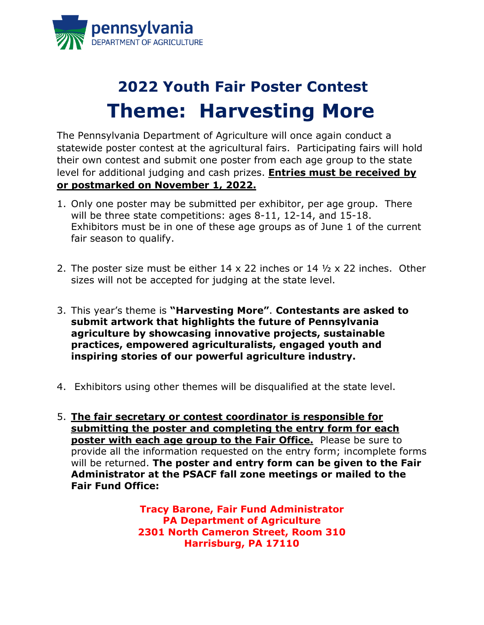

## **2022 Youth Fair Poster Contest Theme: Harvesting More**

The Pennsylvania Department of Agriculture will once again conduct a statewide poster contest at the agricultural fairs. Participating fairs will hold their own contest and submit one poster from each age group to the state level for additional judging and cash prizes. **Entries must be received by or postmarked on November 1, 2022.**

- 1. Only one poster may be submitted per exhibitor, per age group. There will be three state competitions: ages 8-11, 12-14, and 15-18. Exhibitors must be in one of these age groups as of June 1 of the current fair season to qualify.
- 2. The poster size must be either 14 x 22 inches or 14 ½ x 22 inches. Other sizes will not be accepted for judging at the state level.
- 3. This year's theme is **"Harvesting More"**. **Contestants are asked to submit artwork that highlights the future of Pennsylvania agriculture by showcasing innovative projects, sustainable practices, empowered agriculturalists, engaged youth and inspiring stories of our powerful agriculture industry.**
- 4. Exhibitors using other themes will be disqualified at the state level.
- 5. **The fair secretary or contest coordinator is responsible for submitting the poster and completing the entry form for each poster with each age group to the Fair Office.** Please be sure to provide all the information requested on the entry form; incomplete forms will be returned. **The poster and entry form can be given to the Fair Administrator at the PSACF fall zone meetings or mailed to the Fair Fund Office:**

**Tracy Barone, Fair Fund Administrator PA Department of Agriculture 2301 North Cameron Street, Room 310 Harrisburg, PA 17110**